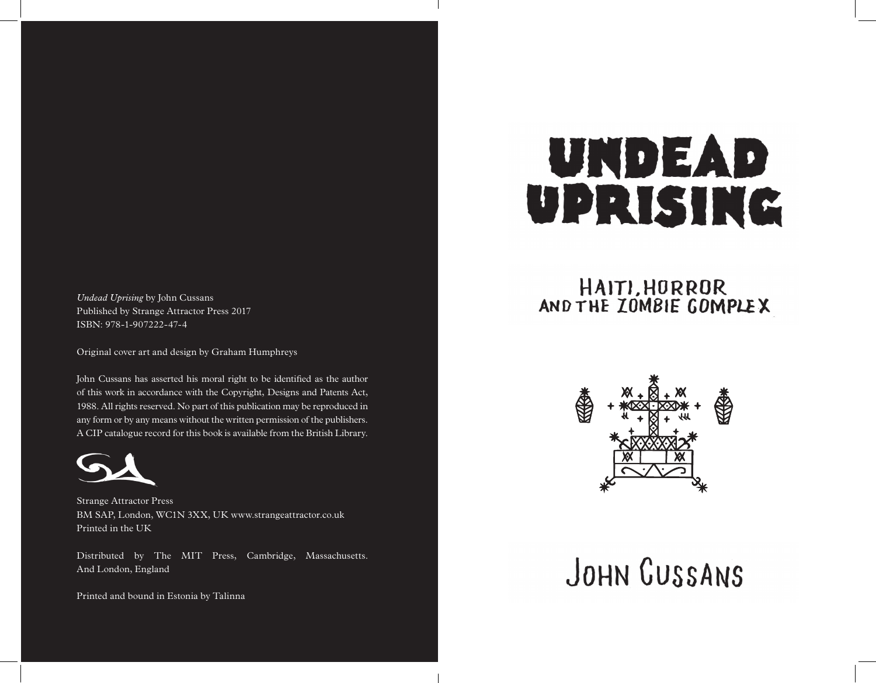*Undead Uprising* by John Cussans Published by Strange Attractor Press 2017 ISBN: 978-1-907222-47-4

Original cover art and design by Graham Humphreys

John Cussans has asserted his moral right to be identified as the author of this work in accordance with the Copyright, Designs and Patents Act, 1988. All rights reserved. No part of this publication may be reproduced in any form or by any means without the written permission of the publishers. A CIP catalogue record for this book is available from the British Library.



Strange Attractor Press BM SAP, London, WC1N 3XX, UK www.strangeattractor.co.uk Printed in the UK

Distributed by The MIT Press, Cambridge, Massachusetts. And London, England

Printed and bound in Estonia by Talinna

# UNDEAD UPRISING

# HAITI, HORROR AND THE ZOMBIE GOMPLEX



# JOHN GUSSANS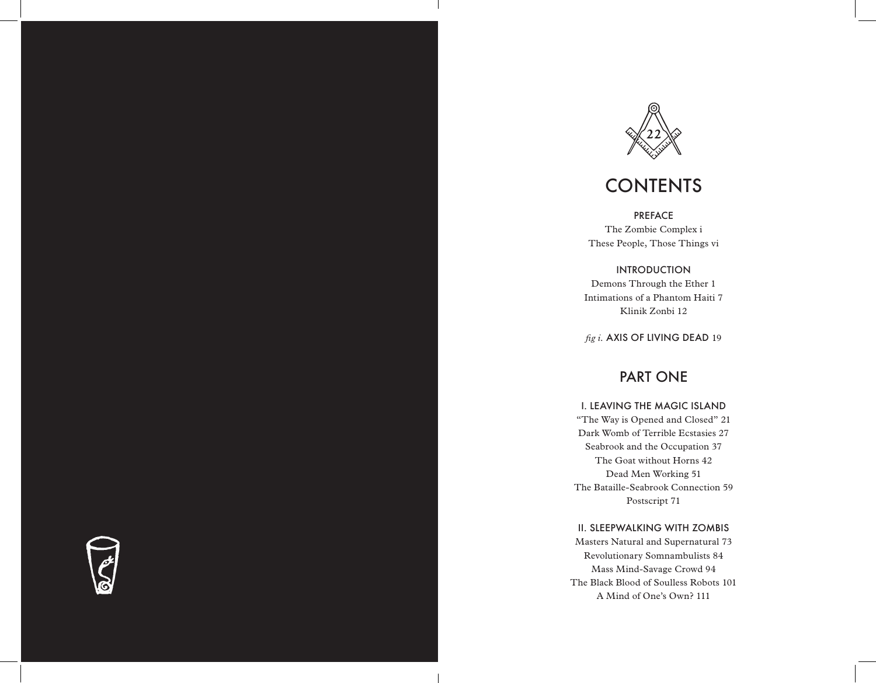

# **CONTENTS**

PREFACE The Zombie Complex i

These People, Those Things vi

INTRODUCTION Demons Through the Ether 1 Intimations of a Phantom Haiti 7 Klinik Zonbi 12

*fig i.* AXIS OF LIVING DEAD 19

## PART ONE

### I. LEAVING THE MAGIC ISLAND

"The Way is Opened and Closed" 21 Dark Womb of Terrible Ecstasies 27 Seabrook and the Occupation 37 The Goat without Horns 42 Dead Men Working 51 The Bataille-Seabrook Connection 59 Postscript 71

### II. SLEEPWALKING WITH ZOMBIS

Masters Natural and Supernatural 73 Revolutionary Somnambulists 84 Mass Mind-Savage Crowd 94 The Black Blood of Soulless Robots 101 A Mind of One's Own? 111

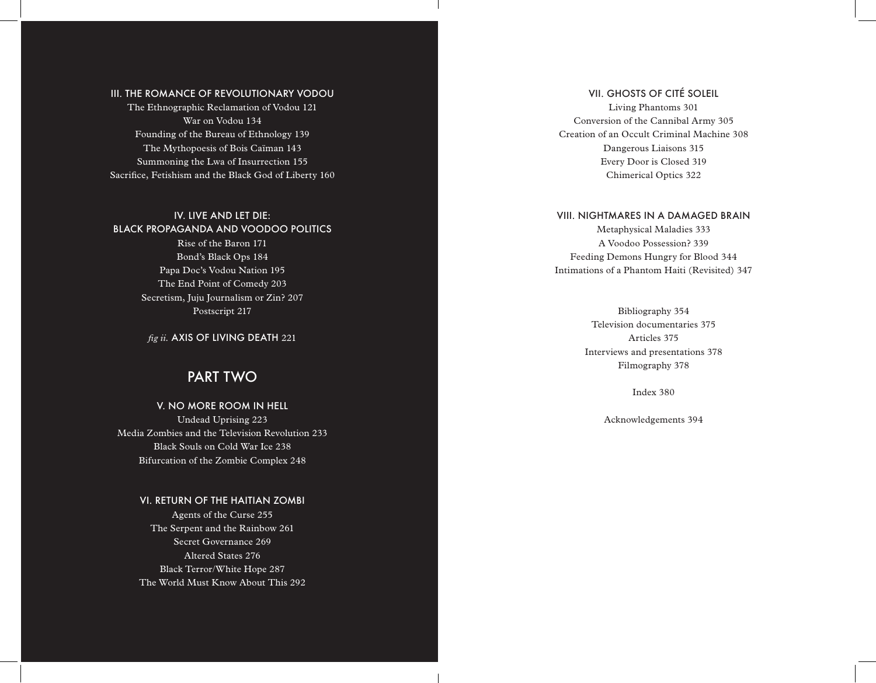### III. THE ROMANCE OF REVOLUTIONARY VODOU

The Ethnographic Reclamation of Vodou 121 War on Vodou 134 Founding of the Bureau of Ethnology 139 The Mythopoesis of Bois Caïman 143 Summoning the Lwa of Insurrection 155 Sacrifice, Fetishism and the Black God of Liberty 160

IV. LIVE AND LET DIE: BLACK PROPAGANDA AND VOODOO POLITICS Rise of the Baron 171 Bond's Black Ops 184

> Papa Doc's Vodou Nation 195 The End Point of Comedy 203 Secretism, Juju Journalism or Zin? 207 Postscript 217

*fig ii.* AXIS OF LIVING DEATH 221

### PART TWO

V. NO MORE ROOM IN HELL Undead Uprising 223 Media Zombies and the Television Revolution 233 Black Souls on Cold War Ice 238 Bifurcation of the Zombie Complex 248

### VI. RETURN OF THE HAITIAN ZOMBI

Agents of the Curse 255 The Serpent and the Rainbow 261 Secret Governance 269 Altered States 276 Black Terror/White Hope 287 The World Must Know About This 292

### VII. GHOSTS OF CITÉ SOLEIL

Living Phantoms 301 Conversion of the Cannibal Army 305 Creation of an Occult Criminal Machine 308 Dangerous Liaisons 315 Every Door is Closed 319 Chimerical Optics 322

### VIII. NIGHTMARES IN A DAMAGED BRAIN

Metaphysical Maladies 333 A Voodoo Possession? 339 Feeding Demons Hungry for Blood 344 Intimations of a Phantom Haiti (Revisited) 347

> Bibliography 354 Television documentaries 375 Articles 375 Interviews and presentations 378 Filmography 378

> > Index 380

Acknowledgements 394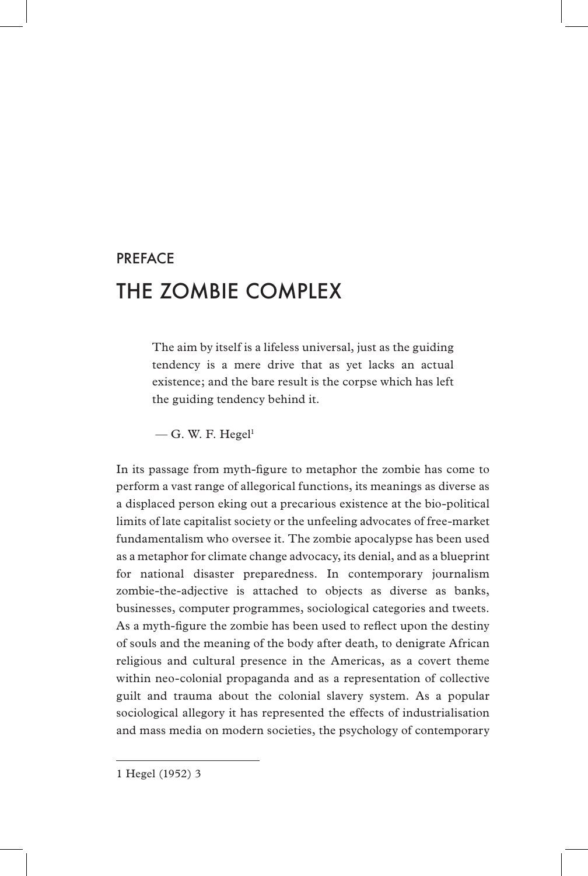## PREFACE THE ZOMBIE COMPLEX

The aim by itself is a lifeless universal, just as the guiding tendency is a mere drive that as yet lacks an actual existence; and the bare result is the corpse which has left the guiding tendency behind it.

 $-$  G. W. F. Hegel<sup>1</sup>

In its passage from myth-figure to metaphor the zombie has come to perform a vast range of allegorical functions, its meanings as diverse as a displaced person eking out a precarious existence at the bio-political limits of late capitalist society or the unfeeling advocates of free-market fundamentalism who oversee it. The zombie apocalypse has been used as a metaphor for climate change advocacy, its denial, and as a blueprint for national disaster preparedness. In contemporary journalism zombie-the-adjective is attached to objects as diverse as banks, businesses, computer programmes, sociological categories and tweets. As a myth-figure the zombie has been used to reflect upon the destiny of souls and the meaning of the body after death, to denigrate African religious and cultural presence in the Americas, as a covert theme within neo-colonial propaganda and as a representation of collective guilt and trauma about the colonial slavery system. As a popular sociological allegory it has represented the effects of industrialisation and mass media on modern societies, the psychology of contemporary

1 Hegel (1952) 3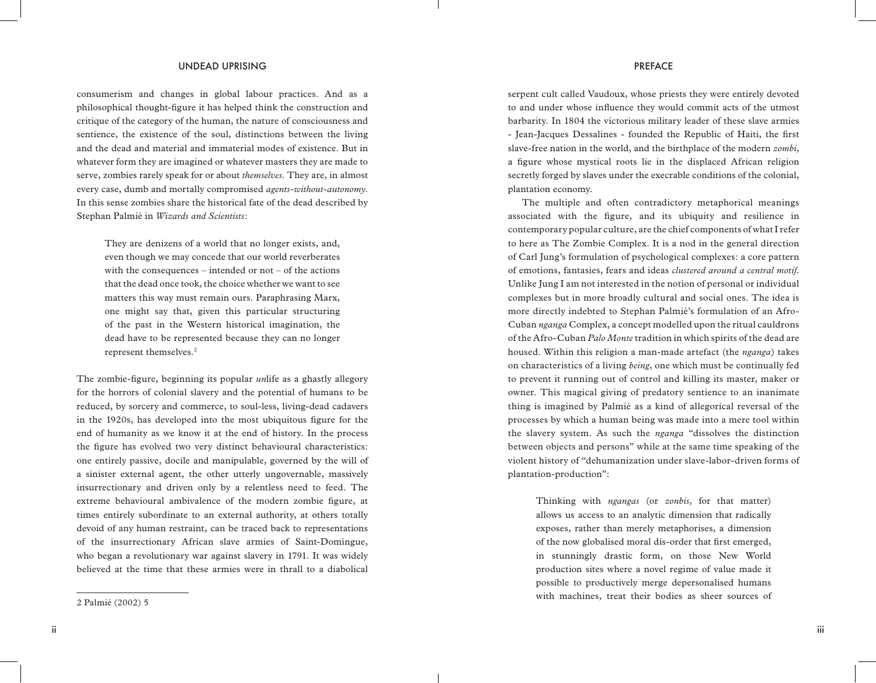consumerism and changes in global labour practices. And as a philosophical thought-figure it has helped think the construction and critique of the category of the human, the nature of consciousness and sentience, the existence of the soul, distinctions between the living and the dead and material and immaterial modes of existence. But in whatever form they are imagined or whatever masters they are made to serve, zombies rarely speak for or about *themselves*. They are, in almost every case, dumb and mortally compromised *agents-without-autonomy*. In this sense zombies share the historical fate of the dead described by Stephan Palmié in *Wizards and Scientists*:

They are denizens of a world that no longer exists, and, even though we may concede that our world reverberates with the consequences – intended or not – of the actions that the dead once took, the choice whether we want to see matters this way must remain ours. Paraphrasing Marx, one might say that, given this particular structuring of the past in the Western historical imagination, the dead have to be represented because they can no longer represent themselves.2

The zombie-figure, beginning its popular *un*life as a ghastly allegory for the horrors of colonial slavery and the potential of humans to be reduced, by sorcery and commerce, to soul-less, living-dead cadavers in the 1920s, has developed into the most ubiquitous figure for the end of humanity as we know it at the end of history. In the process the figure has evolved two very distinct behavioural characteristics: one entirely passive, docile and manipulable, governed by the will of a sinister external agent, the other utterly ungovernable, massively insurrectionary and driven only by a relentless need to feed. The extreme behavioural ambivalence of the modern zombie figure, at times entirely subordinate to an external authority, at others totally devoid of any human restraint, can be traced back to representations of the insurrectionary African slave armies of Saint-Domingue, who began a revolutionary war against slavery in 1791. It was widely believed at the time that these armies were in thrall to a diabolical

serpent cult called Vaudoux, whose priests they were entirely devoted to and under whose influence they would commit acts of the utmost barbarity. In 1804 the victorious military leader of these slave armies - Jean-Jacques Dessalines - founded the Republic of Haiti, the first slave-free nation in the world, and the birthplace of the modern *zombi*, a figure whose mystical roots lie in the displaced African religion secretly forged by slaves under the execrable conditions of the colonial,

plantation economy.

The multiple and often contradictory metaphorical meanings associated with the figure, and its ubiquity and resilience in contemporary popular culture, are the chief components of what I refer to here as The Zombie Complex. It is a nod in the general direction of Carl Jung's formulation of psychological complexes: a core pattern of emotions, fantasies, fears and ideas *clustered around a central motif*. Unlike Jung I am not interested in the notion of personal or individual complexes but in more broadly cultural and social ones. The idea is more directly indebted to Stephan Palmié's formulation of an Afro-Cuban *nganga* Complex, a concept modelled upon the ritual cauldrons of the Afro-Cuban *Palo Monte* tradition in which spirits of the dead are housed. Within this religion a man-made artefact (the *nganga*) takes on characteristics of a living *being*, one which must be continually fed to prevent it running out of control and killing its master, maker or owner. This magical giving of predatory sentience to an inanimate thing is imagined by Palmié as a kind of allegorical reversal of the processes by which a human being was made into a mere tool within the slavery system. As such the *nganga* "dissolves the distinction between objects and persons" while at the same time speaking of the violent history of "dehumanization under slave-labor-driven forms of plantation-production":

Thinking with *ngangas* (or *zonbis*, for that matter) allows us access to an analytic dimension that radically exposes, rather than merely metaphorises, a dimension of the now globalised moral dis-order that first emerged, in stunningly drastic form, on those New World production sites where a novel regime of value made it possible to productively merge depersonalised humans with machines, treat their bodies as sheer sources of

<sup>2</sup> Palmié (2002) 5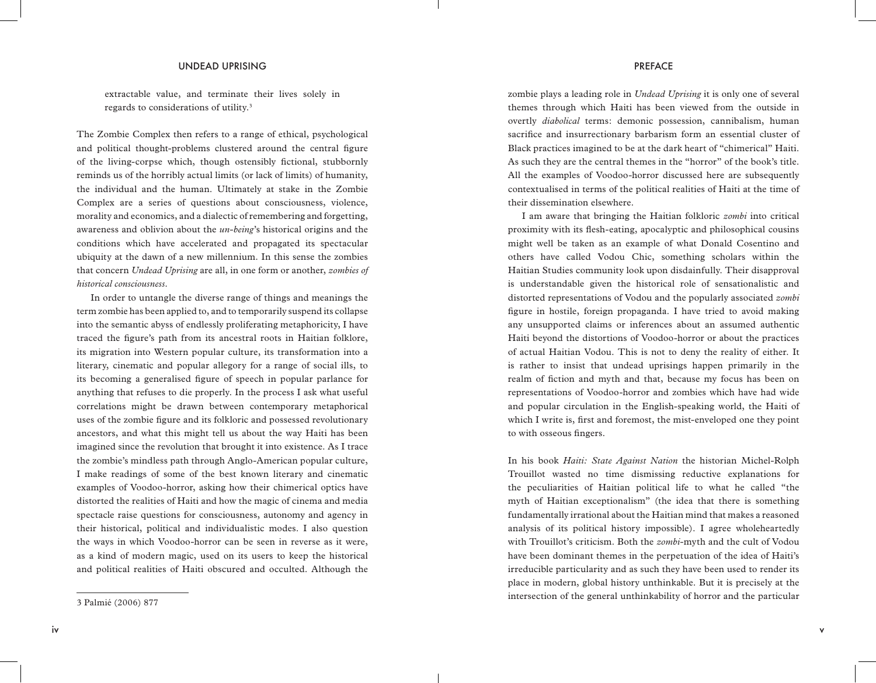extractable value, and terminate their lives solely in regards to considerations of utility.3

The Zombie Complex then refers to a range of ethical, psychological and political thought-problems clustered around the central figure of the living-corpse which, though ostensibly fictional, stubbornly reminds us of the horribly actual limits (or lack of limits) of humanity, the individual and the human. Ultimately at stake in the Zombie Complex are a series of questions about consciousness, violence, morality and economics, and a dialectic of remembering and forgetting, awareness and oblivion about the *un-being*'s historical origins and the conditions which have accelerated and propagated its spectacular ubiquity at the dawn of a new millennium. In this sense the zombies that concern *Undead Uprising* are all, in one form or another, *zombies of historical consciousness*.

In order to untangle the diverse range of things and meanings the term zombie has been applied to, and to temporarily suspend its collapse into the semantic abyss of endlessly proliferating metaphoricity, I have traced the figure's path from its ancestral roots in Haitian folklore, its migration into Western popular culture, its transformation into a literary, cinematic and popular allegory for a range of social ills, to its becoming a generalised figure of speech in popular parlance for anything that refuses to die properly. In the process I ask what useful correlations might be drawn between contemporary metaphorical uses of the zombie figure and its folkloric and possessed revolutionary ancestors, and what this might tell us about the way Haiti has been imagined since the revolution that brought it into existence. As I trace the zombie's mindless path through Anglo-American popular culture, I make readings of some of the best known literary and cinematic examples of Voodoo-horror, asking how their chimerical optics have distorted the realities of Haiti and how the magic of cinema and media spectacle raise questions for consciousness, autonomy and agency in their historical, political and individualistic modes. I also question the ways in which Voodoo-horror can be seen in reverse as it were, as a kind of modern magic, used on its users to keep the historical and political realities of Haiti obscured and occulted. Although the

zombie plays a leading role in *Undead Uprising* it is only one of several themes through which Haiti has been viewed from the outside in overtly *diabolical* terms: demonic possession, cannibalism, human sacrifice and insurrectionary barbarism form an essential cluster of Black practices imagined to be at the dark heart of "chimerical" Haiti. As such they are the central themes in the "horror" of the book's title. All the examples of Voodoo-horror discussed here are subsequently contextualised in terms of the political realities of Haiti at the time of their dissemination elsewhere.

I am aware that bringing the Haitian folkloric *zombi* into critical proximity with its flesh-eating, apocalyptic and philosophical cousins might well be taken as an example of what Donald Cosentino and others have called Vodou Chic, something scholars within the Haitian Studies community look upon disdainfully. Their disapproval is understandable given the historical role of sensationalistic and distorted representations of Vodou and the popularly associated *zombi*  figure in hostile, foreign propaganda. I have tried to avoid making any unsupported claims or inferences about an assumed authentic Haiti beyond the distortions of Voodoo-horror or about the practices of actual Haitian Vodou. This is not to deny the reality of either. It is rather to insist that undead uprisings happen primarily in the realm of fiction and myth and that, because my focus has been on representations of Voodoo-horror and zombies which have had wide and popular circulation in the English-speaking world, the Haiti of which I write is, first and foremost, the mist-enveloped one they point to with osseous fingers.

In his book *Haiti: State Against Nation* the historian Michel-Rolph Trouillot wasted no time dismissing reductive explanations for the peculiarities of Haitian political life to what he called "the myth of Haitian exceptionalism" (the idea that there is something fundamentally irrational about the Haitian mind that makes a reasoned analysis of its political history impossible). I agree wholeheartedly with Trouillot's criticism. Both the *zombi*-myth and the cult of Vodou have been dominant themes in the perpetuation of the idea of Haiti's irreducible particularity and as such they have been used to render its place in modern, global history unthinkable. But it is precisely at the intersection of the general unthinkability of horror and the particular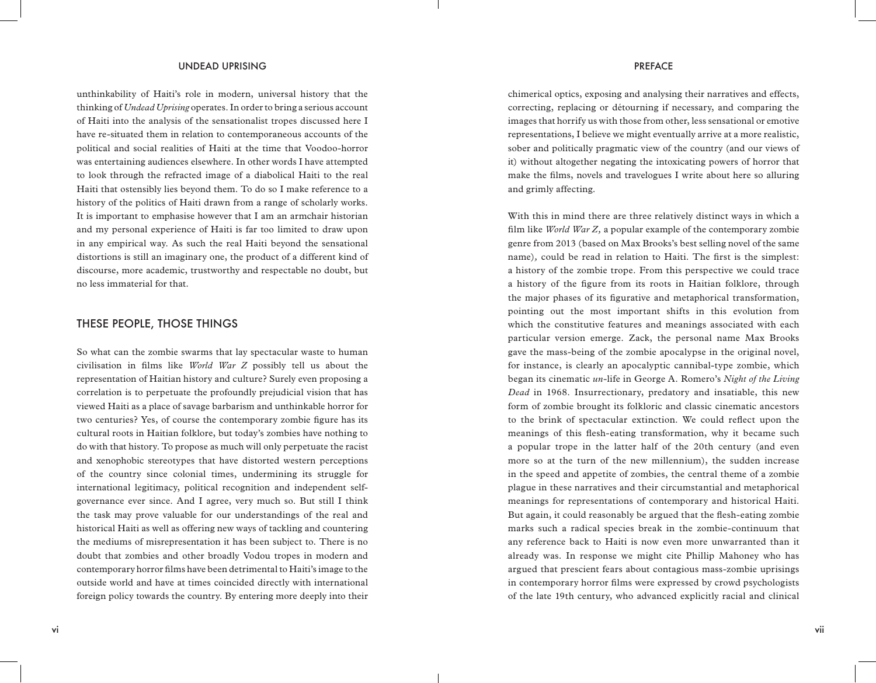unthinkability of Haiti's role in modern, universal history that the thinking of *Undead Uprising* operates. In order to bring a serious account of Haiti into the analysis of the sensationalist tropes discussed here I have re-situated them in relation to contemporaneous accounts of the political and social realities of Haiti at the time that Voodoo-horror was entertaining audiences elsewhere. In other words I have attempted to look through the refracted image of a diabolical Haiti to the real Haiti that ostensibly lies beyond them. To do so I make reference to a history of the politics of Haiti drawn from a range of scholarly works. It is important to emphasise however that I am an armchair historian and my personal experience of Haiti is far too limited to draw upon in any empirical way. As such the real Haiti beyond the sensational distortions is still an imaginary one, the product of a different kind of discourse, more academic, trustworthy and respectable no doubt, but no less immaterial for that.

### THESE PEOPLE, THOSE THINGS

So what can the zombie swarms that lay spectacular waste to human civilisation in films like *World War Z* possibly tell us about the representation of Haitian history and culture? Surely even proposing a correlation is to perpetuate the profoundly prejudicial vision that has viewed Haiti as a place of savage barbarism and unthinkable horror for two centuries? Yes, of course the contemporary zombie figure has its cultural roots in Haitian folklore, but today's zombies have nothing to do with that history. To propose as much will only perpetuate the racist and xenophobic stereotypes that have distorted western perceptions of the country since colonial times, undermining its struggle for international legitimacy, political recognition and independent selfgovernance ever since. And I agree, very much so. But still I think the task may prove valuable for our understandings of the real and historical Haiti as well as offering new ways of tackling and countering the mediums of misrepresentation it has been subject to. There is no doubt that zombies and other broadly Vodou tropes in modern and contemporary horror films have been detrimental to Haiti's image to the outside world and have at times coincided directly with international foreign policy towards the country. By entering more deeply into their

chimerical optics, exposing and analysing their narratives and effects, correcting, replacing or détourning if necessary, and comparing the images that horrify us with those from other, less sensational or emotive representations, I believe we might eventually arrive at a more realistic, sober and politically pragmatic view of the country (and our views of it) without altogether negating the intoxicating powers of horror that make the films, novels and travelogues I write about here so alluring and grimly affecting.

With this in mind there are three relatively distinct ways in which a film like *World War Z,* a popular example of the contemporary zombie genre from 2013 (based on Max Brooks's best selling novel of the same name)*,* could be read in relation to Haiti. The first is the simplest: a history of the zombie trope. From this perspective we could trace a history of the figure from its roots in Haitian folklore, through the major phases of its figurative and metaphorical transformation, pointing out the most important shifts in this evolution from which the constitutive features and meanings associated with each particular version emerge. Zack, the personal name Max Brooks gave the mass-being of the zombie apocalypse in the original novel, for instance, is clearly an apocalyptic cannibal-type zombie, which began its cinematic *un*-life in George A. Romero's *Night of the Living Dead* in 1968. Insurrectionary, predatory and insatiable, this new form of zombie brought its folkloric and classic cinematic ancestors to the brink of spectacular extinction. We could reflect upon the meanings of this flesh-eating transformation, why it became such a popular trope in the latter half of the 20th century (and even more so at the turn of the new millennium), the sudden increase in the speed and appetite of zombies, the central theme of a zombie plague in these narratives and their circumstantial and metaphorical meanings for representations of contemporary and historical Haiti. But again, it could reasonably be argued that the flesh-eating zombie marks such a radical species break in the zombie-continuum that any reference back to Haiti is now even more unwarranted than it already was. In response we might cite Phillip Mahoney who has argued that prescient fears about contagious mass-zombie uprisings in contemporary horror films were expressed by crowd psychologists of the late 19th century, who advanced explicitly racial and clinical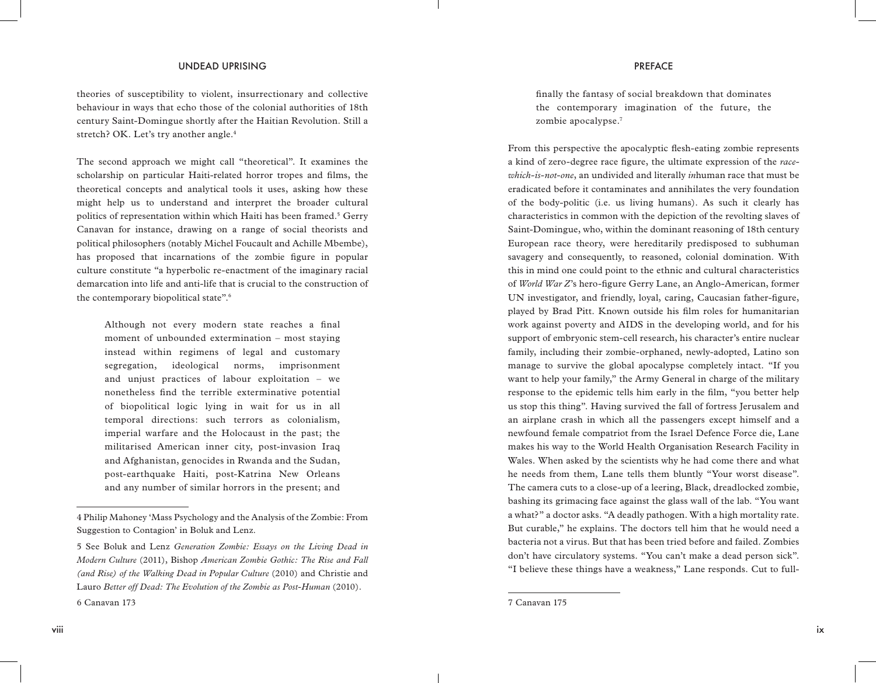theories of susceptibility to violent, insurrectionary and collective behaviour in ways that echo those of the colonial authorities of 18th century Saint-Domingue shortly after the Haitian Revolution. Still a stretch? OK. Let's try another angle.<sup>4</sup>

The second approach we might call "theoretical". It examines the scholarship on particular Haiti-related horror tropes and films, the theoretical concepts and analytical tools it uses, asking how these might help us to understand and interpret the broader cultural politics of representation within which Haiti has been framed.<sup>5</sup> Gerry Canavan for instance, drawing on a range of social theorists and political philosophers (notably Michel Foucault and Achille Mbembe), has proposed that incarnations of the zombie figure in popular culture constitute "a hyperbolic re-enactment of the imaginary racial demarcation into life and anti-life that is crucial to the construction of the contemporary biopolitical state".6

Although not every modern state reaches a final moment of unbounded extermination – most staying instead within regimens of legal and customary segregation, ideological norms, imprisonment and unjust practices of labour exploitation – we nonetheless find the terrible exterminative potential of biopolitical logic lying in wait for us in all temporal directions: such terrors as colonialism, imperial warfare and the Holocaust in the past; the militarised American inner city, post-invasion Iraq and Afghanistan, genocides in Rwanda and the Sudan, post-earthquake Haiti, post-Katrina New Orleans and any number of similar horrors in the present; and

finally the fantasy of social breakdown that dominates the contemporary imagination of the future, the zombie apocalypse.7

From this perspective the apocalyptic flesh-eating zombie represents a kind of zero-degree race figure, the ultimate expression of the *racewhich-is-not-one*, an undivided and literally *in*human race that must be eradicated before it contaminates and annihilates the very foundation of the body-politic (i.e. us living humans). As such it clearly has characteristics in common with the depiction of the revolting slaves of Saint-Domingue, who, within the dominant reasoning of 18th century European race theory, were hereditarily predisposed to subhuman savagery and consequently, to reasoned, colonial domination. With this in mind one could point to the ethnic and cultural characteristics of *World War Z*'s hero*-*figure Gerry Lane, an Anglo-American, former UN investigator, and friendly, loyal, caring, Caucasian father-figure, played by Brad Pitt. Known outside his film roles for humanitarian work against poverty and AIDS in the developing world, and for his support of embryonic stem-cell research, his character's entire nuclear family, including their zombie-orphaned, newly-adopted, Latino son manage to survive the global apocalypse completely intact. "If you want to help your family," the Army General in charge of the military response to the epidemic tells him early in the film, "you better help us stop this thing". Having survived the fall of fortress Jerusalem and an airplane crash in which all the passengers except himself and a newfound female compatriot from the Israel Defence Force die, Lane makes his way to the World Health Organisation Research Facility in Wales. When asked by the scientists why he had come there and what he needs from them, Lane tells them bluntly "Your worst disease". The camera cuts to a close-up of a leering, Black, dreadlocked zombie, bashing its grimacing face against the glass wall of the lab. "You want a what?" a doctor asks. "A deadly pathogen. With a high mortality rate. But curable," he explains. The doctors tell him that he would need a bacteria not a virus. But that has been tried before and failed. Zombies don't have circulatory systems. "You can't make a dead person sick". "I believe these things have a weakness," Lane responds. Cut to full-

<sup>4</sup> Philip Mahoney 'Mass Psychology and the Analysis of the Zombie: From Suggestion to Contagion' in Boluk and Lenz.

<sup>5</sup> See Boluk and Lenz *Generation Zombie: Essays on the Living Dead in Modern Culture* (2011), Bishop *American Zombie Gothic: The Rise and Fall (and Rise) of the Walking Dead in Popular Culture* (2010) and Christie and Lauro *Better off Dead: The Evolution of the Zombie as Post-Human* (2010). 6 Canavan 173

<sup>7</sup> Canavan 175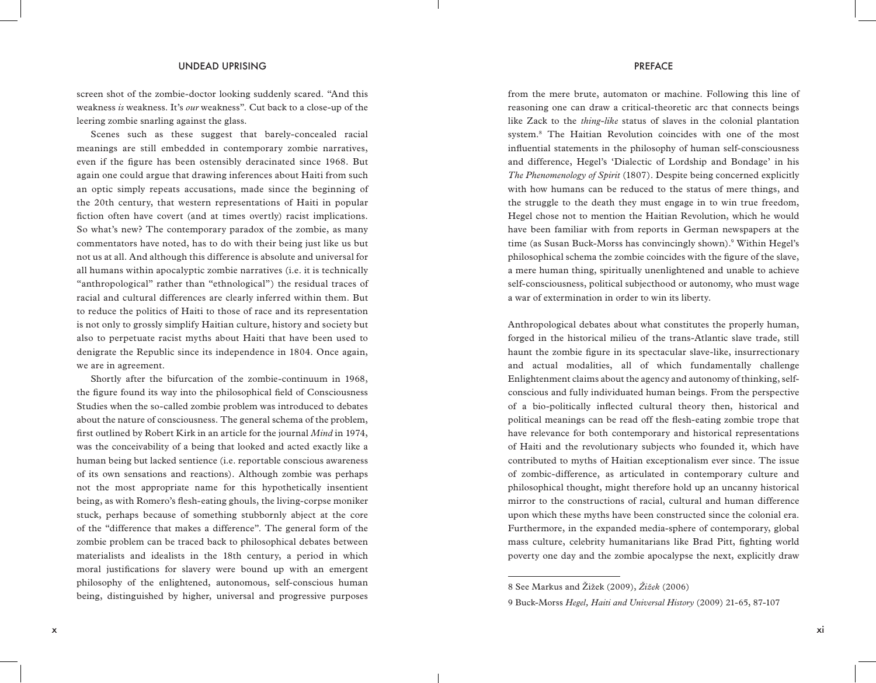screen shot of the zombie-doctor looking suddenly scared. "And this weakness *is* weakness. It's *our* weakness". Cut back to a close-up of the leering zombie snarling against the glass.

Scenes such as these suggest that barely-concealed racial meanings are still embedded in contemporary zombie narratives, even if the figure has been ostensibly deracinated since 1968. But again one could argue that drawing inferences about Haiti from such an optic simply repeats accusations, made since the beginning of the 20th century, that western representations of Haiti in popular fiction often have covert (and at times overtly) racist implications. So what's new? The contemporary paradox of the zombie, as many commentators have noted, has to do with their being just like us but not us at all. And although this difference is absolute and universal for all humans within apocalyptic zombie narratives (i.e. it is technically "anthropological" rather than "ethnological") the residual traces of racial and cultural differences are clearly inferred within them. But to reduce the politics of Haiti to those of race and its representation is not only to grossly simplify Haitian culture, history and society but also to perpetuate racist myths about Haiti that have been used to denigrate the Republic since its independence in 1804. Once again, we are in agreement.

Shortly after the bifurcation of the zombie-continuum in 1968, the figure found its way into the philosophical field of Consciousness Studies when the so-called zombie problem was introduced to debates about the nature of consciousness. The general schema of the problem, first outlined by Robert Kirk in an article for the journal *Mind* in 1974, was the conceivability of a being that looked and acted exactly like a human being but lacked sentience (i.e. reportable conscious awareness of its own sensations and reactions). Although zombie was perhaps not the most appropriate name for this hypothetically insentient being, as with Romero's flesh-eating ghouls, the living-corpse moniker stuck, perhaps because of something stubbornly abject at the core of the "difference that makes a difference". The general form of the zombie problem can be traced back to philosophical debates between materialists and idealists in the 18th century, a period in which moral justifications for slavery were bound up with an emergent philosophy of the enlightened, autonomous, self-conscious human being, distinguished by higher, universal and progressive purposes

from the mere brute, automaton or machine. Following this line of reasoning one can draw a critical-theoretic arc that connects beings like Zack to the *thing-like* status of slaves in the colonial plantation system.8 The Haitian Revolution coincides with one of the most influential statements in the philosophy of human self-consciousness and difference, Hegel's 'Dialectic of Lordship and Bondage' in his *The Phenomenology of Spirit* (1807). Despite being concerned explicitly with how humans can be reduced to the status of mere things, and the struggle to the death they must engage in to win true freedom, Hegel chose not to mention the Haitian Revolution, which he would have been familiar with from reports in German newspapers at the time (as Susan Buck-Morss has convincingly shown).<sup>9</sup> Within Hegel's philosophical schema the zombie coincides with the figure of the slave, a mere human thing, spiritually unenlightened and unable to achieve self-consciousness, political subjecthood or autonomy, who must wage a war of extermination in order to win its liberty.

Anthropological debates about what constitutes the properly human, forged in the historical milieu of the trans-Atlantic slave trade, still haunt the zombie figure in its spectacular slave-like, insurrectionary and actual modalities, all of which fundamentally challenge Enlightenment claims about the agency and autonomy of thinking, selfconscious and fully individuated human beings. From the perspective of a bio-politically inflected cultural theory then, historical and political meanings can be read off the flesh-eating zombie trope that have relevance for both contemporary and historical representations of Haiti and the revolutionary subjects who founded it, which have contributed to myths of Haitian exceptionalism ever since. The issue of zombic-difference, as articulated in contemporary culture and philosophical thought, might therefore hold up an uncanny historical mirror to the constructions of racial, cultural and human difference upon which these myths have been constructed since the colonial era. Furthermore, in the expanded media-sphere of contemporary, global mass culture, celebrity humanitarians like Brad Pitt, fighting world poverty one day and the zombie apocalypse the next, explicitly draw

<sup>8</sup> See Markus and Žižek (2009), *Žižek* (2006)

<sup>9</sup> Buck-Morss *Hegel, Haiti and Universal History* (2009) 21-65, 87-107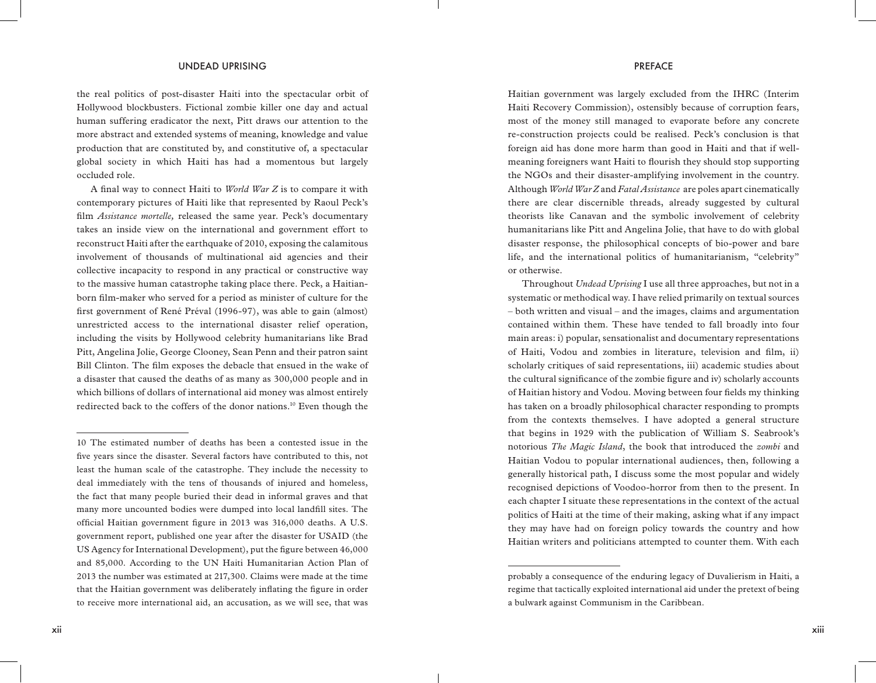the real politics of post-disaster Haiti into the spectacular orbit of Hollywood blockbusters. Fictional zombie killer one day and actual human suffering eradicator the next, Pitt draws our attention to the more abstract and extended systems of meaning, knowledge and value production that are constituted by, and constitutive of, a spectacular global society in which Haiti has had a momentous but largely occluded role.

A final way to connect Haiti to *World War Z* is to compare it with contemporary pictures of Haiti like that represented by Raoul Peck's film *Assistance mortelle,* released the same year. Peck's documentary takes an inside view on the international and government effort to reconstruct Haiti after the earthquake of 2010, exposing the calamitous involvement of thousands of multinational aid agencies and their collective incapacity to respond in any practical or constructive way to the massive human catastrophe taking place there. Peck, a Haitianborn film-maker who served for a period as minister of culture for the first government of René Préval (1996-97), was able to gain (almost) unrestricted access to the international disaster relief operation, including the visits by Hollywood celebrity humanitarians like Brad Pitt, Angelina Jolie, George Clooney, Sean Penn and their patron saint Bill Clinton. The film exposes the debacle that ensued in the wake of a disaster that caused the deaths of as many as 300,000 people and in which billions of dollars of international aid money was almost entirely redirected back to the coffers of the donor nations.<sup>10</sup> Even though the

Haitian government was largely excluded from the IHRC (Interim Haiti Recovery Commission), ostensibly because of corruption fears, most of the money still managed to evaporate before any concrete re-construction projects could be realised. Peck's conclusion is that foreign aid has done more harm than good in Haiti and that if wellmeaning foreigners want Haiti to flourish they should stop supporting the NGOs and their disaster-amplifying involvement in the country. Although *World War Z* and *Fatal Assistance* are poles apart cinematically there are clear discernible threads, already suggested by cultural theorists like Canavan and the symbolic involvement of celebrity humanitarians like Pitt and Angelina Jolie, that have to do with global disaster response, the philosophical concepts of bio-power and bare life, and the international politics of humanitarianism, "celebrity" or otherwise.

Throughout *Undead Uprising* I use all three approaches, but not in a systematic or methodical way. I have relied primarily on textual sources – both written and visual – and the images, claims and argumentation contained within them. These have tended to fall broadly into four main areas: i) popular, sensationalist and documentary representations of Haiti, Vodou and zombies in literature, television and film, ii) scholarly critiques of said representations, iii) academic studies about the cultural significance of the zombie figure and iv) scholarly accounts of Haitian history and Vodou. Moving between four fields my thinking has taken on a broadly philosophical character responding to prompts from the contexts themselves. I have adopted a general structure that begins in 1929 with the publication of William S. Seabrook's notorious *The Magic Island*, the book that introduced the *zombi* and Haitian Vodou to popular international audiences, then, following a generally historical path, I discuss some the most popular and widely recognised depictions of Voodoo-horror from then to the present. In each chapter I situate these representations in the context of the actual politics of Haiti at the time of their making, asking what if any impact they may have had on foreign policy towards the country and how Haitian writers and politicians attempted to counter them. With each

<sup>10</sup> The estimated number of deaths has been a contested issue in the five years since the disaster. Several factors have contributed to this, not least the human scale of the catastrophe. They include the necessity to deal immediately with the tens of thousands of injured and homeless, the fact that many people buried their dead in informal graves and that many more uncounted bodies were dumped into local landfill sites. The official Haitian government figure in 2013 was 316,000 deaths. A U.S. government report, published one year after the disaster for USAID (the US Agency for International Development), put the figure between 46,000 and 85,000. According to the UN Haiti Humanitarian Action Plan of 2013 the number was estimated at 217,300. Claims were made at the time that the Haitian government was deliberately inflating the figure in order to receive more international aid, an accusation, as we will see, that was

probably a consequence of the enduring legacy of Duvalierism in Haiti, a regime that tactically exploited international aid under the pretext of being a bulwark against Communism in the Caribbean.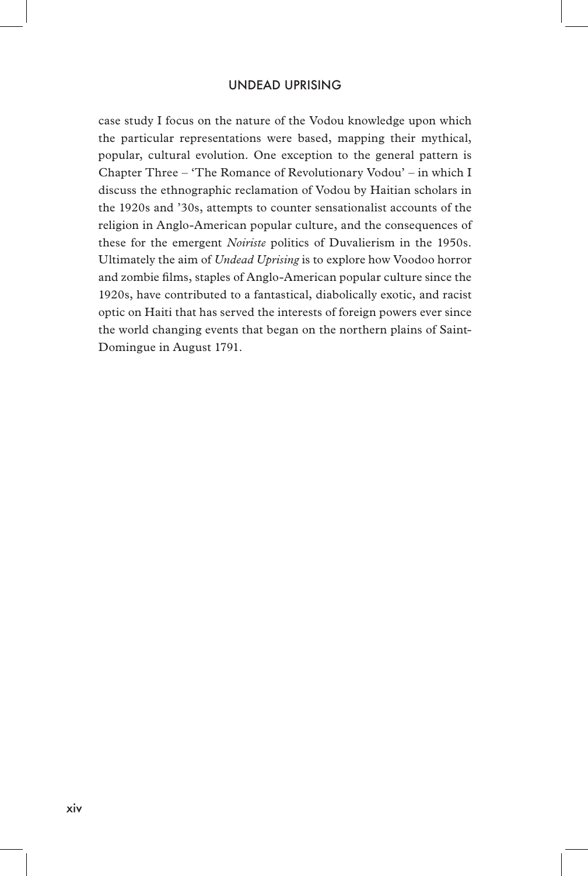### UNDEAD UPRISING

case study I focus on the nature of the Vodou knowledge upon which the particular representations were based, mapping their mythical, popular, cultural evolution. One exception to the general pattern is Chapter Three – 'The Romance of Revolutionary Vodou' – in which I discuss the ethnographic reclamation of Vodou by Haitian scholars in the 1920s and '30s, attempts to counter sensationalist accounts of the religion in Anglo-American popular culture, and the consequences of these for the emergent *Noiriste* politics of Duvalierism in the 1950s. Ultimately the aim of *Undead Uprising* is to explore how Voodoo horror and zombie films, staples of Anglo-American popular culture since the 1920s, have contributed to a fantastical, diabolically exotic, and racist optic on Haiti that has served the interests of foreign powers ever since the world changing events that began on the northern plains of Saint-Domingue in August 1791.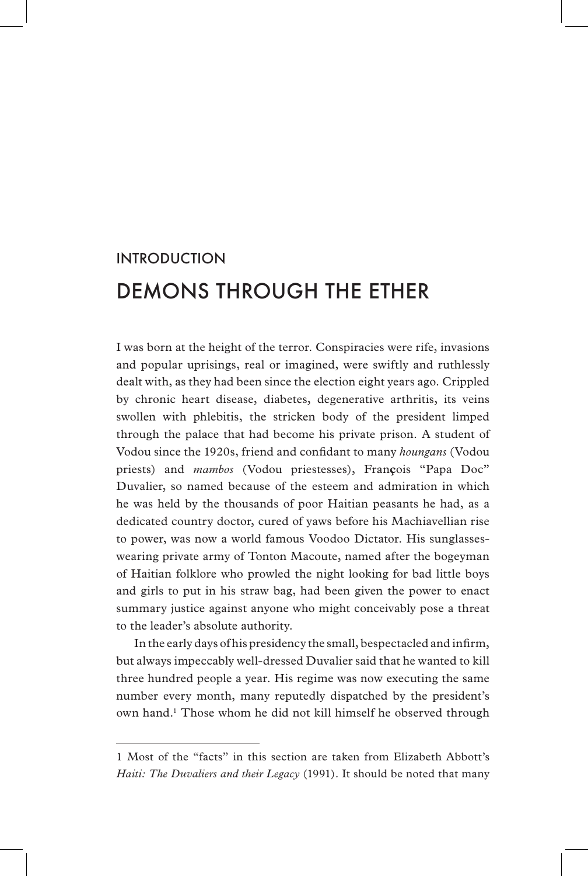# INTRODUCTION DEMONS THROUGH THE ETHER

I was born at the height of the terror. Conspiracies were rife, invasions and popular uprisings, real or imagined, were swiftly and ruthlessly dealt with, as they had been since the election eight years ago. Crippled by chronic heart disease, diabetes, degenerative arthritis, its veins swollen with phlebitis, the stricken body of the president limped through the palace that had become his private prison. A student of Vodou since the 1920s, friend and confidant to many *houngans* (Vodou priests) and *mambos* (Vodou priestesses), Fran**ç**ois "Papa Doc" Duvalier, so named because of the esteem and admiration in which he was held by the thousands of poor Haitian peasants he had, as a dedicated country doctor, cured of yaws before his Machiavellian rise to power, was now a world famous Voodoo Dictator. His sunglasseswearing private army of Tonton Macoute, named after the bogeyman of Haitian folklore who prowled the night looking for bad little boys and girls to put in his straw bag, had been given the power to enact summary justice against anyone who might conceivably pose a threat to the leader's absolute authority.

In the early days of his presidency the small, bespectacled and infirm, but always impeccably well-dressed Duvalier said that he wanted to kill three hundred people a year. His regime was now executing the same number every month, many reputedly dispatched by the president's own hand.<sup>1</sup> Those whom he did not kill himself he observed through

<sup>1</sup> Most of the "facts" in this section are taken from Elizabeth Abbott's *Haiti: The Duvaliers and their Legacy* (1991). It should be noted that many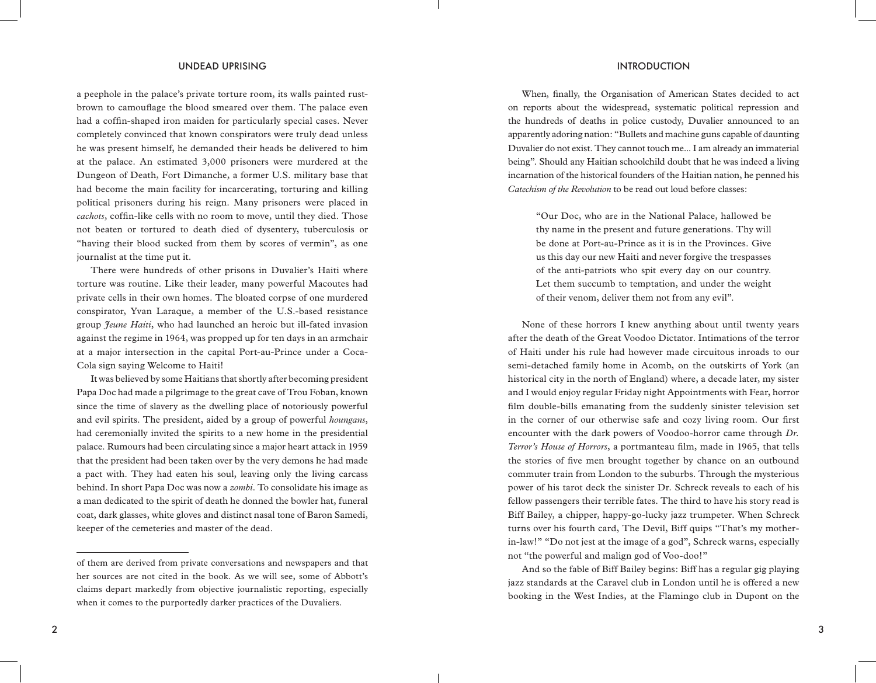a peephole in the palace's private torture room, its walls painted rustbrown to camouflage the blood smeared over them. The palace even had a coffin-shaped iron maiden for particularly special cases. Never completely convinced that known conspirators were truly dead unless he was present himself, he demanded their heads be delivered to him at the palace. An estimated 3,000 prisoners were murdered at the Dungeon of Death, Fort Dimanche, a former U.S. military base that had become the main facility for incarcerating, torturing and killing political prisoners during his reign. Many prisoners were placed in *cachots*, coffin-like cells with no room to move, until they died. Those not beaten or tortured to death died of dysentery, tuberculosis or "having their blood sucked from them by scores of vermin", as one journalist at the time put it.

There were hundreds of other prisons in Duvalier's Haiti where torture was routine. Like their leader, many powerful Macoutes had private cells in their own homes. The bloated corpse of one murdered conspirator, Yvan Laraque, a member of the U.S.-based resistance group *Jeune Haiti*, who had launched an heroic but ill-fated invasion against the regime in 1964, was propped up for ten days in an armchair at a major intersection in the capital Port-au-Prince under a Coca-Cola sign saying Welcome to Haiti!

It was believed by some Haitians that shortly after becoming president Papa Doc had made a pilgrimage to the great cave of Trou Foban, known since the time of slavery as the dwelling place of notoriously powerful and evil spirits. The president, aided by a group of powerful *houngans*, had ceremonially invited the spirits to a new home in the presidential palace. Rumours had been circulating since a major heart attack in 1959 that the president had been taken over by the very demons he had made a pact with. They had eaten his soul, leaving only the living carcass behind. In short Papa Doc was now a *zombi*. To consolidate his image as a man dedicated to the spirit of death he donned the bowler hat, funeral coat, dark glasses, white gloves and distinct nasal tone of Baron Samedi, keeper of the cemeteries and master of the dead.

When, finally, the Organisation of American States decided to act on reports about the widespread, systematic political repression and the hundreds of deaths in police custody, Duvalier announced to an apparently adoring nation: "Bullets and machine guns capable of daunting Duvalier do not exist. They cannot touch me... I am already an immaterial being". Should any Haitian schoolchild doubt that he was indeed a living incarnation of the historical founders of the Haitian nation, he penned his *Catechism of the Revolution* to be read out loud before classes:

"Our Doc, who are in the National Palace, hallowed be thy name in the present and future generations. Thy will be done at Port-au-Prince as it is in the Provinces. Give us this day our new Haiti and never forgive the trespasses of the anti-patriots who spit every day on our country. Let them succumb to temptation, and under the weight of their venom, deliver them not from any evil".

None of these horrors I knew anything about until twenty years after the death of the Great Voodoo Dictator. Intimations of the terror of Haiti under his rule had however made circuitous inroads to our semi-detached family home in Acomb, on the outskirts of York (an historical city in the north of England) where, a decade later, my sister and I would enjoy regular Friday night Appointments with Fear, horror film double-bills emanating from the suddenly sinister television set in the corner of our otherwise safe and cozy living room. Our first encounter with the dark powers of Voodoo-horror came through *Dr. Terror's House of Horrors*, a portmanteau film, made in 1965, that tells the stories of five men brought together by chance on an outbound commuter train from London to the suburbs. Through the mysterious power of his tarot deck the sinister Dr. Schreck reveals to each of his fellow passengers their terrible fates. The third to have his story read is Biff Bailey, a chipper, happy-go-lucky jazz trumpeter. When Schreck turns over his fourth card, The Devil, Biff quips "That's my motherin-law!" "Do not jest at the image of a god", Schreck warns, especially not "the powerful and malign god of Voo-doo!"

And so the fable of Biff Bailey begins: Biff has a regular gig playing jazz standards at the Caravel club in London until he is offered a new booking in the West Indies, at the Flamingo club in Dupont on the

of them are derived from private conversations and newspapers and that her sources are not cited in the book. As we will see, some of Abbott's claims depart markedly from objective journalistic reporting, especially when it comes to the purportedly darker practices of the Duvaliers.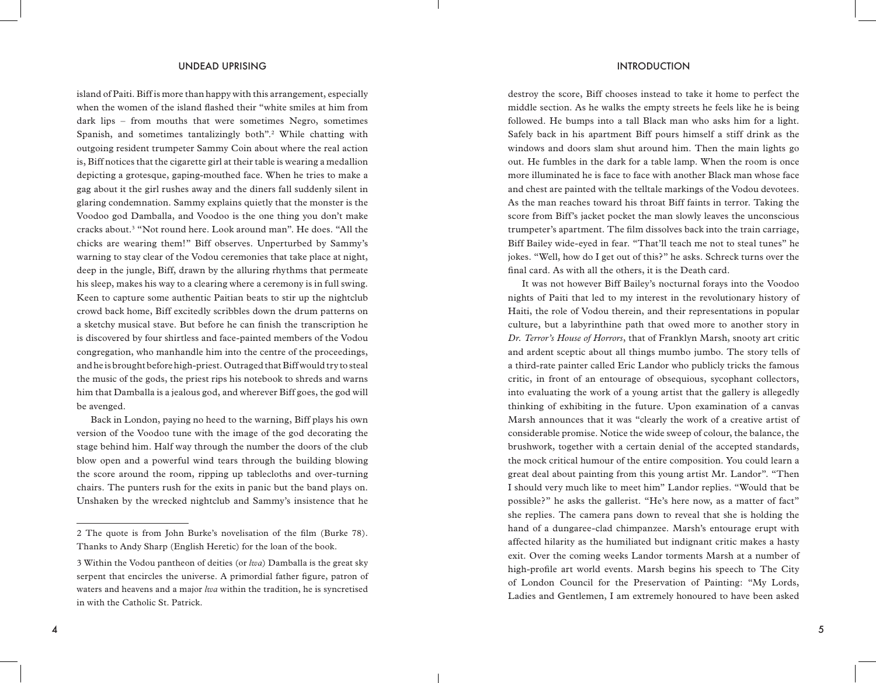island of Paiti. Biff is more than happy with this arrangement, especially when the women of the island flashed their "white smiles at him from dark lips – from mouths that were sometimes Negro, sometimes Spanish, and sometimes tantalizingly both".2 While chatting with outgoing resident trumpeter Sammy Coin about where the real action is, Biff notices that the cigarette girl at their table is wearing a medallion depicting a grotesque, gaping-mouthed face. When he tries to make a gag about it the girl rushes away and the diners fall suddenly silent in glaring condemnation. Sammy explains quietly that the monster is the Voodoo god Damballa, and Voodoo is the one thing you don't make cracks about.3 "Not round here. Look around man". He does. "All the chicks are wearing them!" Biff observes. Unperturbed by Sammy's warning to stay clear of the Vodou ceremonies that take place at night, deep in the jungle, Biff, drawn by the alluring rhythms that permeate his sleep, makes his way to a clearing where a ceremony is in full swing. Keen to capture some authentic Paitian beats to stir up the nightclub crowd back home, Biff excitedly scribbles down the drum patterns on a sketchy musical stave. But before he can finish the transcription he is discovered by four shirtless and face-painted members of the Vodou congregation, who manhandle him into the centre of the proceedings, and he is brought before high-priest. Outraged that Biff would try to steal the music of the gods, the priest rips his notebook to shreds and warns him that Damballa is a jealous god, and wherever Biff goes, the god will be avenged.

Back in London, paying no heed to the warning, Biff plays his own version of the Voodoo tune with the image of the god decorating the stage behind him. Half way through the number the doors of the club blow open and a powerful wind tears through the building blowing the score around the room, ripping up tablecloths and over-turning chairs. The punters rush for the exits in panic but the band plays on. Unshaken by the wrecked nightclub and Sammy's insistence that he

destroy the score, Biff chooses instead to take it home to perfect the middle section. As he walks the empty streets he feels like he is being followed. He bumps into a tall Black man who asks him for a light. Safely back in his apartment Biff pours himself a stiff drink as the windows and doors slam shut around him. Then the main lights go out. He fumbles in the dark for a table lamp. When the room is once more illuminated he is face to face with another Black man whose face and chest are painted with the telltale markings of the Vodou devotees. As the man reaches toward his throat Biff faints in terror. Taking the score from Biff's jacket pocket the man slowly leaves the unconscious trumpeter's apartment. The film dissolves back into the train carriage, Biff Bailey wide-eyed in fear. "That'll teach me not to steal tunes" he jokes. "Well, how do I get out of this?" he asks. Schreck turns over the final card. As with all the others, it is the Death card.

It was not however Biff Bailey's nocturnal forays into the Voodoo nights of Paiti that led to my interest in the revolutionary history of Haiti, the role of Vodou therein, and their representations in popular culture, but a labyrinthine path that owed more to another story in *Dr. Terror's House of Horrors*, that of Franklyn Marsh, snooty art critic and ardent sceptic about all things mumbo jumbo. The story tells of a third-rate painter called Eric Landor who publicly tricks the famous critic, in front of an entourage of obsequious, sycophant collectors, into evaluating the work of a young artist that the gallery is allegedly thinking of exhibiting in the future. Upon examination of a canvas Marsh announces that it was "clearly the work of a creative artist of considerable promise. Notice the wide sweep of colour, the balance, the brushwork, together with a certain denial of the accepted standards, the mock critical humour of the entire composition. You could learn a great deal about painting from this young artist Mr. Landor". "Then I should very much like to meet him" Landor replies. "Would that be possible?" he asks the gallerist. "He's here now, as a matter of fact" she replies. The camera pans down to reveal that she is holding the hand of a dungaree-clad chimpanzee. Marsh's entourage erupt with affected hilarity as the humiliated but indignant critic makes a hasty exit. Over the coming weeks Landor torments Marsh at a number of high-profile art world events. Marsh begins his speech to The City of London Council for the Preservation of Painting: "My Lords, Ladies and Gentlemen, I am extremely honoured to have been asked

<sup>2</sup> The quote is from John Burke's novelisation of the film (Burke 78). Thanks to Andy Sharp (English Heretic) for the loan of the book.

<sup>3</sup> Within the Vodou pantheon of deities (or *lwa*) Damballa is the great sky serpent that encircles the universe. A primordial father figure, patron of waters and heavens and a major *lwa* within the tradition, he is syncretised in with the Catholic St. Patrick.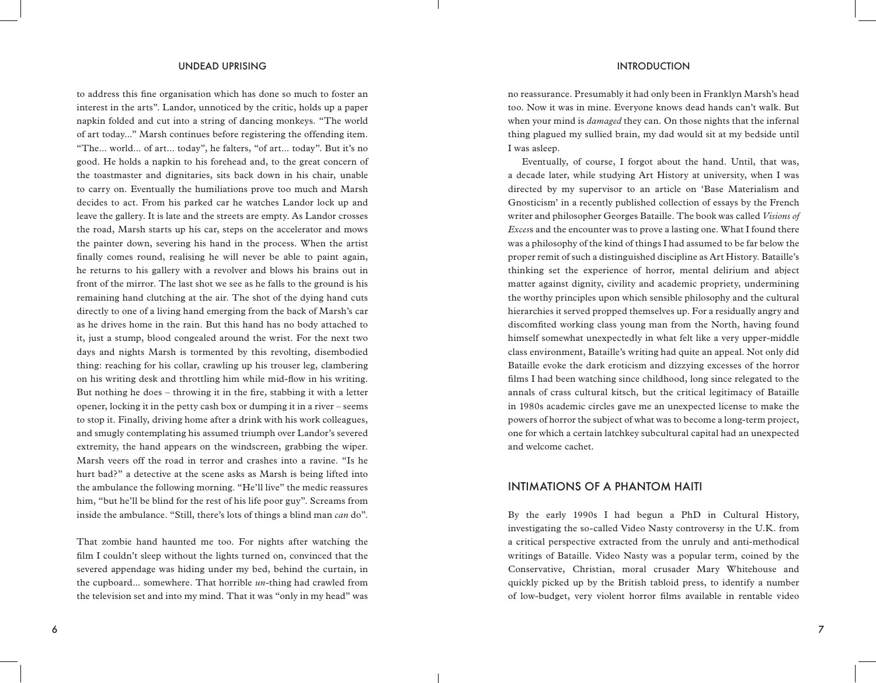to address this fine organisation which has done so much to foster an interest in the arts". Landor, unnoticed by the critic, holds up a paper napkin folded and cut into a string of dancing monkeys. "The world of art today..." Marsh continues before registering the offending item. "The... world... of art... today", he falters, "of art... today". But it's no good. He holds a napkin to his forehead and, to the great concern of the toastmaster and dignitaries, sits back down in his chair, unable to carry on. Eventually the humiliations prove too much and Marsh decides to act. From his parked car he watches Landor lock up and leave the gallery. It is late and the streets are empty. As Landor crosses the road, Marsh starts up his car, steps on the accelerator and mows the painter down, severing his hand in the process. When the artist finally comes round, realising he will never be able to paint again, he returns to his gallery with a revolver and blows his brains out in front of the mirror. The last shot we see as he falls to the ground is his remaining hand clutching at the air. The shot of the dying hand cuts directly to one of a living hand emerging from the back of Marsh's car as he drives home in the rain. But this hand has no body attached to it, just a stump, blood congealed around the wrist. For the next two days and nights Marsh is tormented by this revolting, disembodied thing: reaching for his collar, crawling up his trouser leg, clambering on his writing desk and throttling him while mid-flow in his writing. But nothing he does – throwing it in the fire, stabbing it with a letter opener, locking it in the petty cash box or dumping it in a river – seems to stop it. Finally, driving home after a drink with his work colleagues, and smugly contemplating his assumed triumph over Landor's severed extremity, the hand appears on the windscreen, grabbing the wiper. Marsh veers off the road in terror and crashes into a ravine. "Is he hurt bad?" a detective at the scene asks as Marsh is being lifted into the ambulance the following morning. "He'll live" the medic reassures him, "but he'll be blind for the rest of his life poor guy". Screams from inside the ambulance. "Still, there's lots of things a blind man *can* do".

That zombie hand haunted me too. For nights after watching the film I couldn't sleep without the lights turned on, convinced that the severed appendage was hiding under my bed, behind the curtain, in the cupboard... somewhere. That horrible *un-*thing had crawled from the television set and into my mind. That it was "only in my head" was

no reassurance. Presumably it had only been in Franklyn Marsh's head too. Now it was in mine. Everyone knows dead hands can't walk. But when your mind is *damaged* they can. On those nights that the infernal thing plagued my sullied brain, my dad would sit at my bedside until I was asleep.

Eventually, of course, I forgot about the hand. Until, that was, a decade later, while studying Art History at university, when I was directed by my supervisor to an article on 'Base Materialism and Gnosticism' in a recently published collection of essays by the French writer and philosopher Georges Bataille. The book was called *Visions of Exces*s and the encounter was to prove a lasting one. What I found there was a philosophy of the kind of things I had assumed to be far below the proper remit of such a distinguished discipline as Art History. Bataille's thinking set the experience of horror, mental delirium and abject matter against dignity, civility and academic propriety, undermining the worthy principles upon which sensible philosophy and the cultural hierarchies it served propped themselves up. For a residually angry and discomfited working class young man from the North, having found himself somewhat unexpectedly in what felt like a very upper-middle class environment, Bataille's writing had quite an appeal. Not only did Bataille evoke the dark eroticism and dizzying excesses of the horror films I had been watching since childhood, long since relegated to the annals of crass cultural kitsch, but the critical legitimacy of Bataille in 1980s academic circles gave me an unexpected license to make the powers of horror the subject of what was to become a long-term project, one for which a certain latchkey subcultural capital had an unexpected and welcome cachet*.*

### INTIMATIONS OF A PHANTOM HAITI

By the early 1990s I had begun a PhD in Cultural History, investigating the so-called Video Nasty controversy in the U.K. from a critical perspective extracted from the unruly and anti-methodical writings of Bataille. Video Nasty was a popular term, coined by the Conservative, Christian, moral crusader Mary Whitehouse and quickly picked up by the British tabloid press, to identify a number of low-budget, very violent horror films available in rentable video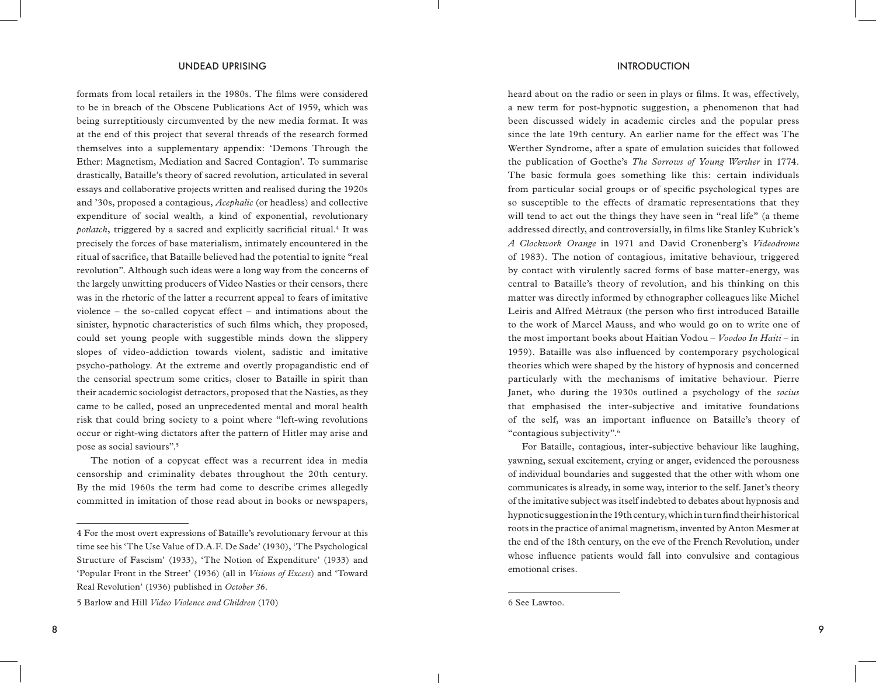### UNDEAD UPRISING INTRODUCTION INTRODUCTION

formats from local retailers in the 1980s. The films were considered to be in breach of the Obscene Publications Act of 1959, which was being surreptitiously circumvented by the new media format. It was at the end of this project that several threads of the research formed themselves into a supplementary appendix: 'Demons Through the Ether: Magnetism, Mediation and Sacred Contagion'. To summarise drastically, Bataille's theory of sacred revolution, articulated in several essays and collaborative projects written and realised during the 1920s and '30s, proposed a contagious, *Acephalic* (or headless) and collective expenditure of social wealth, a kind of exponential, revolutionary potlatch, triggered by a sacred and explicitly sacrificial ritual.<sup>4</sup> It was precisely the forces of base materialism, intimately encountered in the ritual of sacrifice, that Bataille believed had the potential to ignite "real revolution". Although such ideas were a long way from the concerns of the largely unwitting producers of Video Nasties or their censors, there was in the rhetoric of the latter a recurrent appeal to fears of imitative violence – the so-called copycat effect – and intimations about the sinister, hypnotic characteristics of such films which, they proposed, could set young people with suggestible minds down the slippery slopes of video-addiction towards violent, sadistic and imitative psycho-pathology. At the extreme and overtly propagandistic end of the censorial spectrum some critics, closer to Bataille in spirit than their academic sociologist detractors, proposed that the Nasties, as they came to be called, posed an unprecedented mental and moral health risk that could bring society to a point where "left-wing revolutions occur or right-wing dictators after the pattern of Hitler may arise and pose as social saviours".5

The notion of a copycat effect was a recurrent idea in media censorship and criminality debates throughout the 20th century. By the mid 1960s the term had come to describe crimes allegedly committed in imitation of those read about in books or newspapers,

heard about on the radio or seen in plays or films. It was, effectively, a new term for post-hypnotic suggestion, a phenomenon that had been discussed widely in academic circles and the popular press since the late 19th century. An earlier name for the effect was The Werther Syndrome, after a spate of emulation suicides that followed the publication of Goethe's *The Sorrows of Young Werther* in 1774. The basic formula goes something like this: certain individuals from particular social groups or of specific psychological types are so susceptible to the effects of dramatic representations that they will tend to act out the things they have seen in "real life" (a theme addressed directly, and controversially, in films like Stanley Kubrick's *A Clockwork Orange* in 1971 and David Cronenberg's *Videodrome* of 1983). The notion of contagious, imitative behaviour, triggered by contact with virulently sacred forms of base matter-energy, was central to Bataille's theory of revolution, and his thinking on this matter was directly informed by ethnographer colleagues like Michel Leiris and Alfred Métraux (the person who first introduced Bataille to the work of Marcel Mauss, and who would go on to write one of the most important books about Haitian Vodou – *Voodoo In Haiti* – in 1959). Bataille was also influenced by contemporary psychological theories which were shaped by the history of hypnosis and concerned particularly with the mechanisms of imitative behaviour. Pierre Janet, who during the 1930s outlined a psychology of the *socius* that emphasised the inter-subjective and imitative foundations of the self, was an important influence on Bataille's theory of "contagious subjectivity".6

For Bataille, contagious, inter-subjective behaviour like laughing, yawning, sexual excitement, crying or anger, evidenced the porousness of individual boundaries and suggested that the other with whom one communicates is already, in some way, interior to the self. Janet's theory of the imitative subject was itself indebted to debates about hypnosis and hypnotic suggestion in the 19th century, which in turn find their historical roots in the practice of animal magnetism, invented by Anton Mesmer at the end of the 18th century, on the eve of the French Revolution, under whose influence patients would fall into convulsive and contagious emotional crises.

<sup>4</sup> For the most overt expressions of Bataille's revolutionary fervour at this time see his 'The Use Value of D.A.F. De Sade' (1930), 'The Psychological Structure of Fascism' (1933), 'The Notion of Expenditure' (1933) and 'Popular Front in the Street' (1936) (all in *Visions of Excess*) and 'Toward Real Revolution' (1936) published in *October 36*.

<sup>5</sup> Barlow and Hill *Video Violence and Children* (170)

<sup>6</sup> See Lawtoo.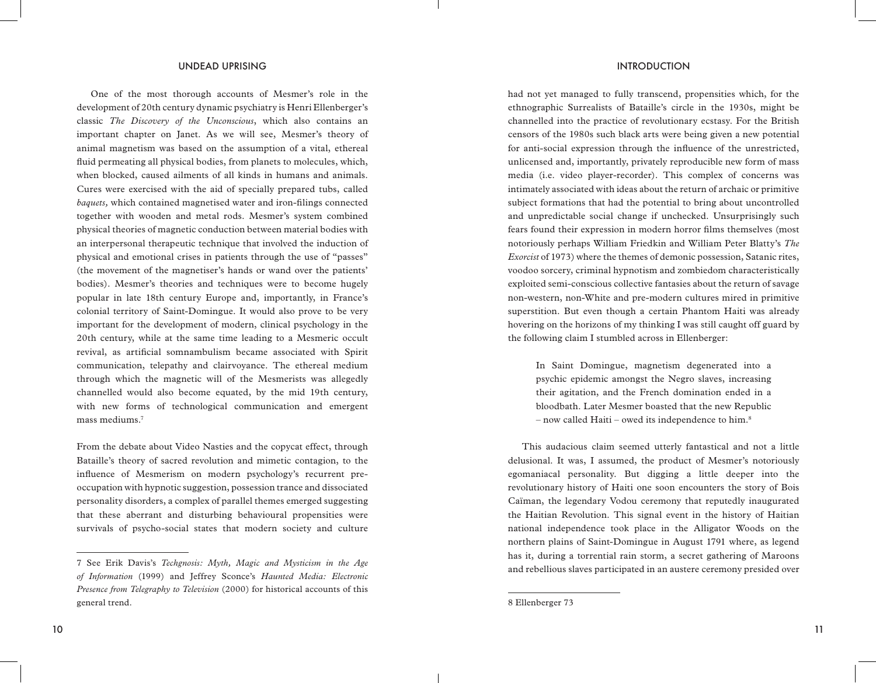One of the most thorough accounts of Mesmer's role in the development of 20th century dynamic psychiatry is Henri Ellenberger's classic *The Discovery of the Unconscious*, which also contains an important chapter on Janet. As we will see, Mesmer's theory of animal magnetism was based on the assumption of a vital, ethereal fluid permeating all physical bodies, from planets to molecules, which, when blocked, caused ailments of all kinds in humans and animals. Cures were exercised with the aid of specially prepared tubs, called *baquets,* which contained magnetised water and iron-filings connected together with wooden and metal rods. Mesmer's system combined physical theories of magnetic conduction between material bodies with an interpersonal therapeutic technique that involved the induction of physical and emotional crises in patients through the use of "passes" (the movement of the magnetiser's hands or wand over the patients' bodies). Mesmer's theories and techniques were to become hugely popular in late 18th century Europe and, importantly, in France's colonial territory of Saint-Domingue. It would also prove to be very important for the development of modern, clinical psychology in the 20th century, while at the same time leading to a Mesmeric occult revival, as artificial somnambulism became associated with Spirit communication, telepathy and clairvoyance. The ethereal medium through which the magnetic will of the Mesmerists was allegedly channelled would also become equated, by the mid 19th century, with new forms of technological communication and emergent mass mediums.7

From the debate about Video Nasties and the copycat effect, through Bataille's theory of sacred revolution and mimetic contagion, to the influence of Mesmerism on modern psychology's recurrent preoccupation with hypnotic suggestion, possession trance and dissociated personality disorders, a complex of parallel themes emerged suggesting that these aberrant and disturbing behavioural propensities were survivals of psycho-social states that modern society and culture

had not yet managed to fully transcend, propensities which, for the ethnographic Surrealists of Bataille's circle in the 1930s, might be channelled into the practice of revolutionary ecstasy. For the British censors of the 1980s such black arts were being given a new potential for anti-social expression through the influence of the unrestricted, unlicensed and, importantly, privately reproducible new form of mass media (i.e. video player-recorder). This complex of concerns was intimately associated with ideas about the return of archaic or primitive subject formations that had the potential to bring about uncontrolled and unpredictable social change if unchecked. Unsurprisingly such fears found their expression in modern horror films themselves (most notoriously perhaps William Friedkin and William Peter Blatty's *The Exorcist* of 1973) where the themes of demonic possession, Satanic rites, voodoo sorcery, criminal hypnotism and zombiedom characteristically exploited semi-conscious collective fantasies about the return of savage non-western, non-White and pre-modern cultures mired in primitive superstition. But even though a certain Phantom Haiti was already hovering on the horizons of my thinking I was still caught off guard by the following claim I stumbled across in Ellenberger:

In Saint Domingue, magnetism degenerated into a psychic epidemic amongst the Negro slaves, increasing their agitation, and the French domination ended in a bloodbath. Later Mesmer boasted that the new Republic – now called Haiti – owed its independence to him.8

This audacious claim seemed utterly fantastical and not a little delusional. It was, I assumed, the product of Mesmer's notoriously egomaniacal personality. But digging a little deeper into the revolutionary history of Haiti one soon encounters the story of Bois Caïman, the legendary Vodou ceremony that reputedly inaugurated the Haitian Revolution. This signal event in the history of Haitian national independence took place in the Alligator Woods on the northern plains of Saint-Domingue in August 1791 where, as legend has it, during a torrential rain storm, a secret gathering of Maroons and rebellious slaves participated in an austere ceremony presided over

<sup>7</sup> See Erik Davis's *Techgnosis: Myth, Magic and Mysticism in the Age of Information* (1999) and Jeffrey Sconce's *Haunted Media: Electronic Presence from Telegraphy to Television* (2000) for historical accounts of this general trend.

<sup>8</sup> Ellenberger 73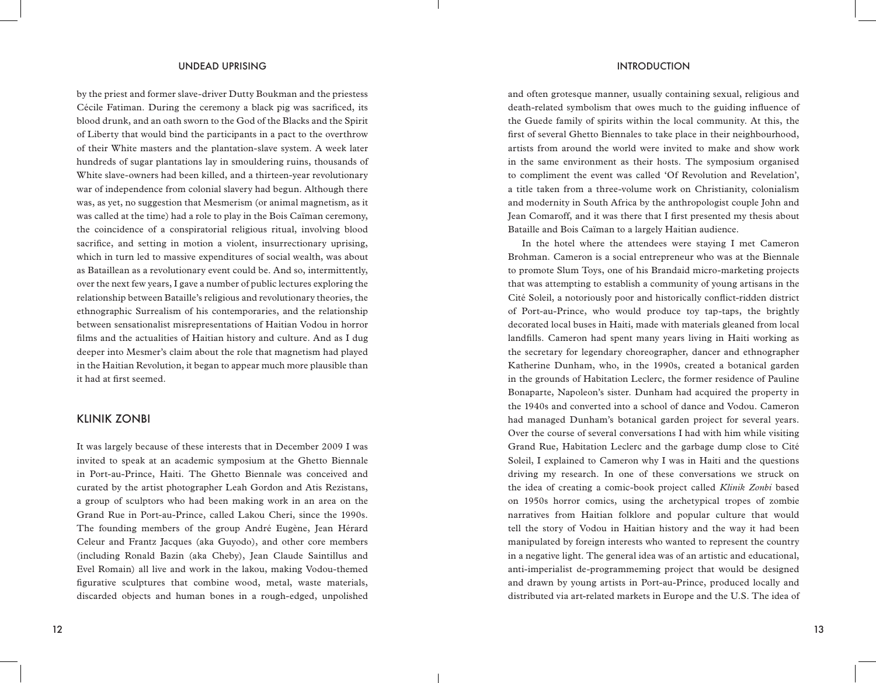by the priest and former slave-driver Dutty Boukman and the priestess Cécile Fatiman. During the ceremony a black pig was sacrificed, its blood drunk, and an oath sworn to the God of the Blacks and the Spirit of Liberty that would bind the participants in a pact to the overthrow of their White masters and the plantation-slave system. A week later hundreds of sugar plantations lay in smouldering ruins, thousands of White slave-owners had been killed, and a thirteen-year revolutionary war of independence from colonial slavery had begun. Although there was, as yet, no suggestion that Mesmerism (or animal magnetism, as it was called at the time) had a role to play in the Bois Caïman ceremony, the coincidence of a conspiratorial religious ritual, involving blood sacrifice, and setting in motion a violent, insurrectionary uprising, which in turn led to massive expenditures of social wealth, was about as Bataillean as a revolutionary event could be. And so, intermittently, over the next few years, I gave a number of public lectures exploring the relationship between Bataille's religious and revolutionary theories, the ethnographic Surrealism of his contemporaries, and the relationship between sensationalist misrepresentations of Haitian Vodou in horror films and the actualities of Haitian history and culture. And as I dug deeper into Mesmer's claim about the role that magnetism had played in the Haitian Revolution, it began to appear much more plausible than it had at first seemed.

### KLINIK ZONBI

It was largely because of these interests that in December 2009 I was invited to speak at an academic symposium at the Ghetto Biennale in Port-au-Prince, Haiti. The Ghetto Biennale was conceived and curated by the artist photographer Leah Gordon and Atis Rezistans, a group of sculptors who had been making work in an area on the Grand Rue in Port-au-Prince, called Lakou Cheri, since the 1990s. The founding members of the group André Eugène, Jean Hérard Celeur and Frantz Jacques (aka Guyodo), and other core members (including Ronald Bazin (aka Cheby), Jean Claude Saintillus and Evel Romain) all live and work in the lakou, making Vodou-themed figurative sculptures that combine wood, metal, waste materials, discarded objects and human bones in a rough-edged, unpolished

### UNDEAD UPRISING INTRODUCTION

and often grotesque manner, usually containing sexual, religious and death-related symbolism that owes much to the guiding influence of the Guede family of spirits within the local community. At this, the first of several Ghetto Biennales to take place in their neighbourhood, artists from around the world were invited to make and show work in the same environment as their hosts. The symposium organised to compliment the event was called 'Of Revolution and Revelation', a title taken from a three-volume work on Christianity, colonialism and modernity in South Africa by the anthropologist couple John and Jean Comaroff, and it was there that I first presented my thesis about Bataille and Bois Caïman to a largely Haitian audience.

In the hotel where the attendees were staying I met Cameron Brohman. Cameron is a social entrepreneur who was at the Biennale to promote Slum Toys, one of his Brandaid micro-marketing projects that was attempting to establish a community of young artisans in the Cité Soleil, a notoriously poor and historically conflict-ridden district of Port-au-Prince, who would produce toy tap-taps, the brightly decorated local buses in Haiti, made with materials gleaned from local landfills. Cameron had spent many years living in Haiti working as the secretary for legendary choreographer, dancer and ethnographer Katherine Dunham, who, in the 1990s, created a botanical garden in the grounds of Habitation Leclerc, the former residence of Pauline Bonaparte, Napoleon's sister. Dunham had acquired the property in the 1940s and converted into a school of dance and Vodou. Cameron had managed Dunham's botanical garden project for several years. Over the course of several conversations I had with him while visiting Grand Rue, Habitation Leclerc and the garbage dump close to Cité Soleil, I explained to Cameron why I was in Haiti and the questions driving my research. In one of these conversations we struck on the idea of creating a comic-book project called *Klinik Zonbi* based on 1950s horror comics, using the archetypical tropes of zombie narratives from Haitian folklore and popular culture that would tell the story of Vodou in Haitian history and the way it had been manipulated by foreign interests who wanted to represent the country in a negative light. The general idea was of an artistic and educational, anti-imperialist de-programmeming project that would be designed and drawn by young artists in Port-au-Prince, produced locally and distributed via art-related markets in Europe and the U.S. The idea of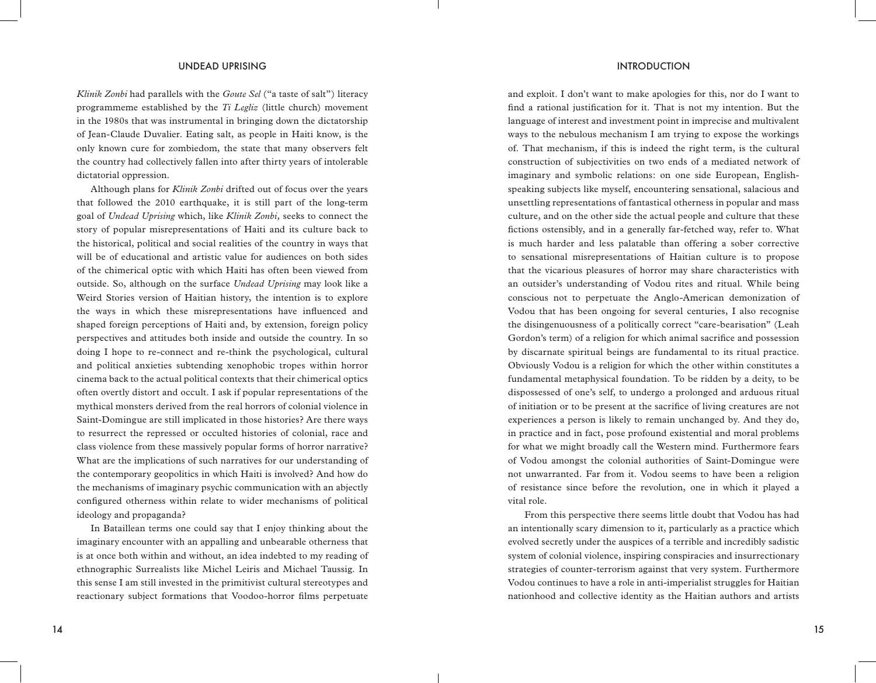*Klinik Zonbi* had parallels with the *Goute Sel* ("a taste of salt") literacy programmeme established by the *Ti Legliz* (little church) movement in the 1980s that was instrumental in bringing down the dictatorship of Jean-Claude Duvalier. Eating salt, as people in Haiti know, is the only known cure for zombiedom, the state that many observers felt the country had collectively fallen into after thirty years of intolerable dictatorial oppression.

Although plans for *Klinik Zonbi* drifted out of focus over the years that followed the 2010 earthquake, it is still part of the long-term goal of *Undead Uprising* which, like *Klinik Zonbi,* seeks to connect the story of popular misrepresentations of Haiti and its culture back to the historical, political and social realities of the country in ways that will be of educational and artistic value for audiences on both sides of the chimerical optic with which Haiti has often been viewed from outside. So, although on the surface *Undead Uprising* may look like a Weird Stories version of Haitian history, the intention is to explore the ways in which these misrepresentations have influenced and shaped foreign perceptions of Haiti and, by extension, foreign policy perspectives and attitudes both inside and outside the country. In so doing I hope to re-connect and re-think the psychological, cultural and political anxieties subtending xenophobic tropes within horror cinema back to the actual political contexts that their chimerical optics often overtly distort and occult. I ask if popular representations of the mythical monsters derived from the real horrors of colonial violence in Saint-Domingue are still implicated in those histories? Are there ways to resurrect the repressed or occulted histories of colonial, race and class violence from these massively popular forms of horror narrative? What are the implications of such narratives for our understanding of the contemporary geopolitics in which Haiti is involved? And how do the mechanisms of imaginary psychic communication with an abjectly configured otherness within relate to wider mechanisms of political ideology and propaganda?

In Bataillean terms one could say that I enjoy thinking about the imaginary encounter with an appalling and unbearable otherness that is at once both within and without, an idea indebted to my reading of ethnographic Surrealists like Michel Leiris and Michael Taussig. In this sense I am still invested in the primitivist cultural stereotypes and reactionary subject formations that Voodoo-horror films perpetuate

and exploit. I don't want to make apologies for this, nor do I want to find a rational justification for it. That is not my intention. But the language of interest and investment point in imprecise and multivalent ways to the nebulous mechanism I am trying to expose the workings of. That mechanism, if this is indeed the right term, is the cultural construction of subjectivities on two ends of a mediated network of imaginary and symbolic relations: on one side European, Englishspeaking subjects like myself, encountering sensational, salacious and unsettling representations of fantastical otherness in popular and mass culture, and on the other side the actual people and culture that these fictions ostensibly, and in a generally far-fetched way, refer to. What is much harder and less palatable than offering a sober corrective to sensational misrepresentations of Haitian culture is to propose that the vicarious pleasures of horror may share characteristics with an outsider's understanding of Vodou rites and ritual. While being conscious not to perpetuate the Anglo-American demonization of Vodou that has been ongoing for several centuries, I also recognise the disingenuousness of a politically correct "care-bearisation" (Leah Gordon's term) of a religion for which animal sacrifice and possession by discarnate spiritual beings are fundamental to its ritual practice. Obviously Vodou is a religion for which the other within constitutes a fundamental metaphysical foundation. To be ridden by a deity, to be dispossessed of one's self, to undergo a prolonged and arduous ritual of initiation or to be present at the sacrifice of living creatures are not experiences a person is likely to remain unchanged by. And they do, in practice and in fact, pose profound existential and moral problems for what we might broadly call the Western mind. Furthermore fears of Vodou amongst the colonial authorities of Saint-Domingue were not unwarranted. Far from it. Vodou seems to have been a religion of resistance since before the revolution, one in which it played a vital role.

 From this perspective there seems little doubt that Vodou has had an intentionally scary dimension to it, particularly as a practice which evolved secretly under the auspices of a terrible and incredibly sadistic system of colonial violence, inspiring conspiracies and insurrectionary strategies of counter-terrorism against that very system. Furthermore Vodou continues to have a role in anti-imperialist struggles for Haitian nationhood and collective identity as the Haitian authors and artists